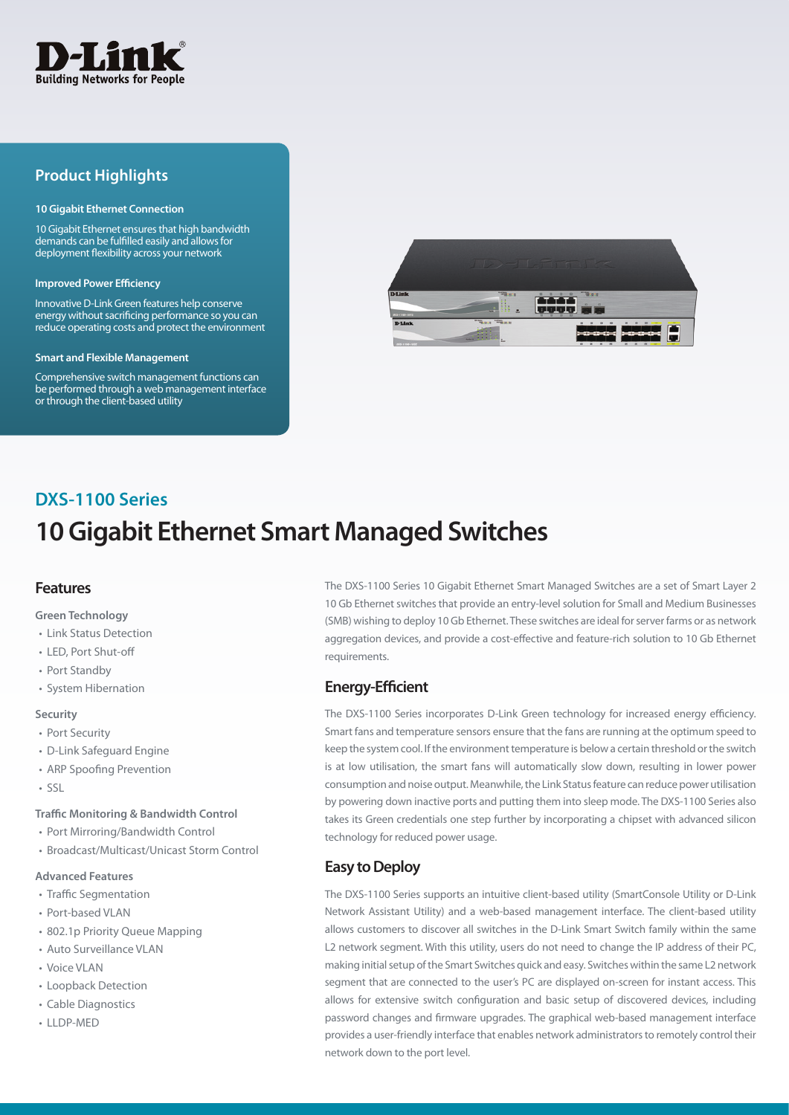

## **Product Highlights**

#### **10 Gigabit Ethernet Connection**

10 Gigabit Ethernet ensures that high bandwidth demands can be fulfilled easily and allows for deployment flexibility across your network

#### **Improved Power Efficiency**

Innovative D-Link Green features help conserve energy without sacrificing performance so you can reduce operating costs and protect the environment

#### **Smart and Flexible Management**

Comprehensive switch management functions can be performed through a web management interface or through the client-based utility



## **10 Gigabit Ethernet Smart Managed Switches DXS-1100 Series**

#### **Features**

**Green Technology**

- Link Status Detection
- LED, Port Shut-off
- Port Standby
- System Hibernation

#### **Security**

- Port Security
- D-Link Safeguard Engine
- ARP Spoofing Prevention
- SSL

#### **Traffic Monitoring & Bandwidth Control**

- Port Mirroring/Bandwidth Control
- Broadcast/Multicast/Unicast Storm Control

### **Advanced Features**

- Traffic Segmentation
- Port-based VLAN
- 802.1p Priority Queue Mapping
- Auto Surveillance VLAN
- Voice VLAN
- Loopback Detection
- Cable Diagnostics
- LLDP-MED

The DXS-1100 Series 10 Gigabit Ethernet Smart Managed Switches are a set of Smart Layer 2 10 Gb Ethernet switches that provide an entry-level solution for Small and Medium Businesses (SMB) wishing to deploy 10 Gb Ethernet. These switches are ideal for server farms or as network aggregation devices, and provide a cost-effective and feature-rich solution to 10 Gb Ethernet requirements.

### **Energy-Efficient**

The DXS-1100 Series incorporates D-Link Green technology for increased energy efficiency. Smart fans and temperature sensors ensure that the fans are running at the optimum speed to keep the system cool. If the environment temperature is below a certain threshold or the switch is at low utilisation, the smart fans will automatically slow down, resulting in lower power consumption and noise output. Meanwhile, the Link Status feature can reduce power utilisation by powering down inactive ports and putting them into sleep mode. The DXS-1100 Series also takes its Green credentials one step further by incorporating a chipset with advanced silicon technology for reduced power usage.

## **Easy to Deploy**

The DXS-1100 Series supports an intuitive client-based utility (SmartConsole Utility or D-Link Network Assistant Utility) and a web-based management interface. The client-based utility allows customers to discover all switches in the D-Link Smart Switch family within the same L2 network segment. With this utility, users do not need to change the IP address of their PC, making initial setup of the Smart Switches quick and easy. Switches within the same L2 network segment that are connected to the user's PC are displayed on-screen for instant access. This allows for extensive switch configuration and basic setup of discovered devices, including password changes and firmware upgrades. The graphical web-based management interface provides a user-friendly interface that enables network administrators to remotely control their network down to the port level.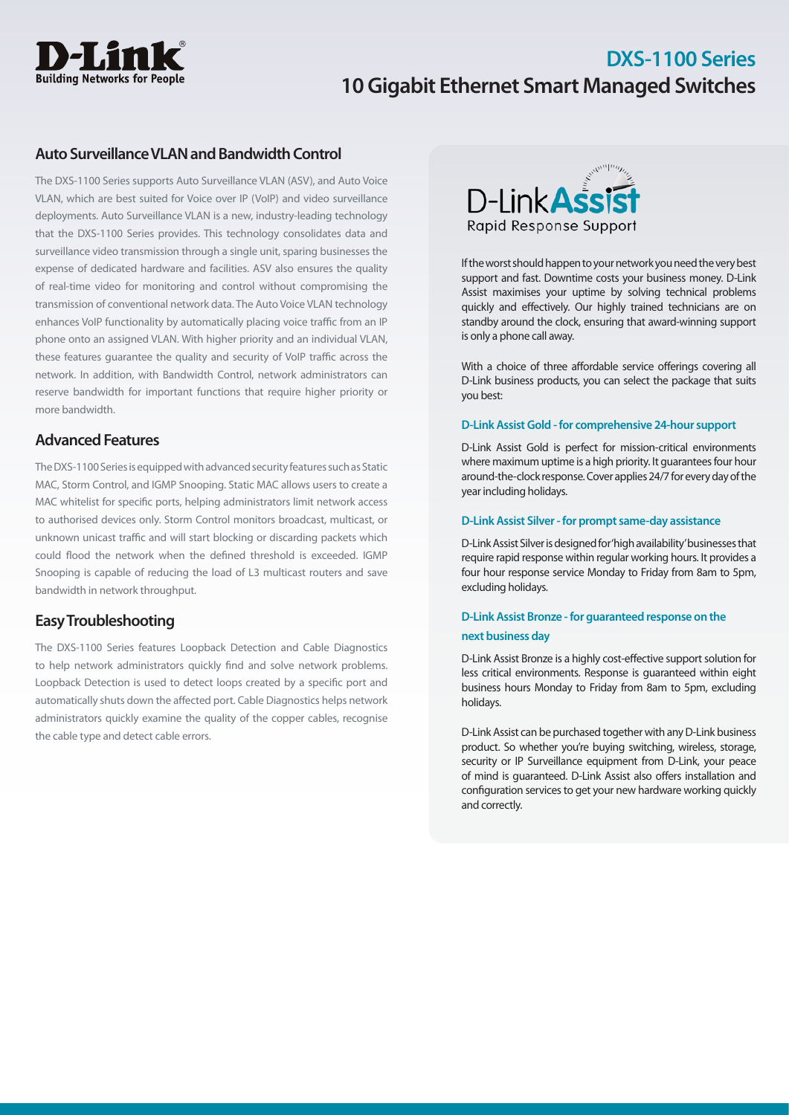

## **Auto Surveillance VLAN and Bandwidth Control**

The DXS-1100 Series supports Auto Surveillance VLAN (ASV), and Auto Voice VLAN, which are best suited for Voice over IP (VoIP) and video surveillance deployments. Auto Surveillance VLAN is a new, industry-leading technology that the DXS-1100 Series provides. This technology consolidates data and surveillance video transmission through a single unit, sparing businesses the expense of dedicated hardware and facilities. ASV also ensures the quality of real-time video for monitoring and control without compromising the transmission of conventional network data. The Auto Voice VLAN technology enhances VoIP functionality by automatically placing voice traffic from an IP phone onto an assigned VLAN. With higher priority and an individual VLAN, these features guarantee the quality and security of VoIP traffic across the network. In addition, with Bandwidth Control, network administrators can reserve bandwidth for important functions that require higher priority or more bandwidth.

## **Advanced Features**

The DXS-1100 Series is equipped with advanced security features such as Static MAC, Storm Control, and IGMP Snooping. Static MAC allows users to create a MAC whitelist for specific ports, helping administrators limit network access to authorised devices only. Storm Control monitors broadcast, multicast, or unknown unicast traffic and will start blocking or discarding packets which could flood the network when the defined threshold is exceeded. IGMP Snooping is capable of reducing the load of L3 multicast routers and save bandwidth in network throughput.

## **Easy Troubleshooting**

The DXS-1100 Series features Loopback Detection and Cable Diagnostics to help network administrators quickly find and solve network problems. Loopback Detection is used to detect loops created by a specific port and automatically shuts down the affected port. Cable Diagnostics helps network administrators quickly examine the quality of the copper cables, recognise the cable type and detect cable errors.



If the worst should happen to your network you need the very best support and fast. Downtime costs your business money. D-Link Assist maximises your uptime by solving technical problems quickly and effectively. Our highly trained technicians are on standby around the clock, ensuring that award-winning support is only a phone call away.

With a choice of three affordable service offerings covering all D-Link business products, you can select the package that suits you best:

### **D-Link Assist Gold - for comprehensive 24-hour support**

D-Link Assist Gold is perfect for mission-critical environments where maximum uptime is a high priority. It guarantees four hour around-the-clock response. Cover applies 24/7 for every day of the year including holidays.

### **D-Link Assist Silver - for prompt same-day assistance**

D-Link Assist Silver is designed for 'high availability' businesses that require rapid response within regular working hours. It provides a four hour response service Monday to Friday from 8am to 5pm, excluding holidays.

## **D-Link Assist Bronze - for guaranteed response on the next business day**

D-Link Assist Bronze is a highly cost-effective support solution for less critical environments. Response is guaranteed within eight business hours Monday to Friday from 8am to 5pm, excluding holidays.

D-Link Assist can be purchased together with any D-Link business product. So whether you're buying switching, wireless, storage, security or IP Surveillance equipment from D-Link, your peace of mind is guaranteed. D-Link Assist also offers installation and configuration services to get your new hardware working quickly and correctly.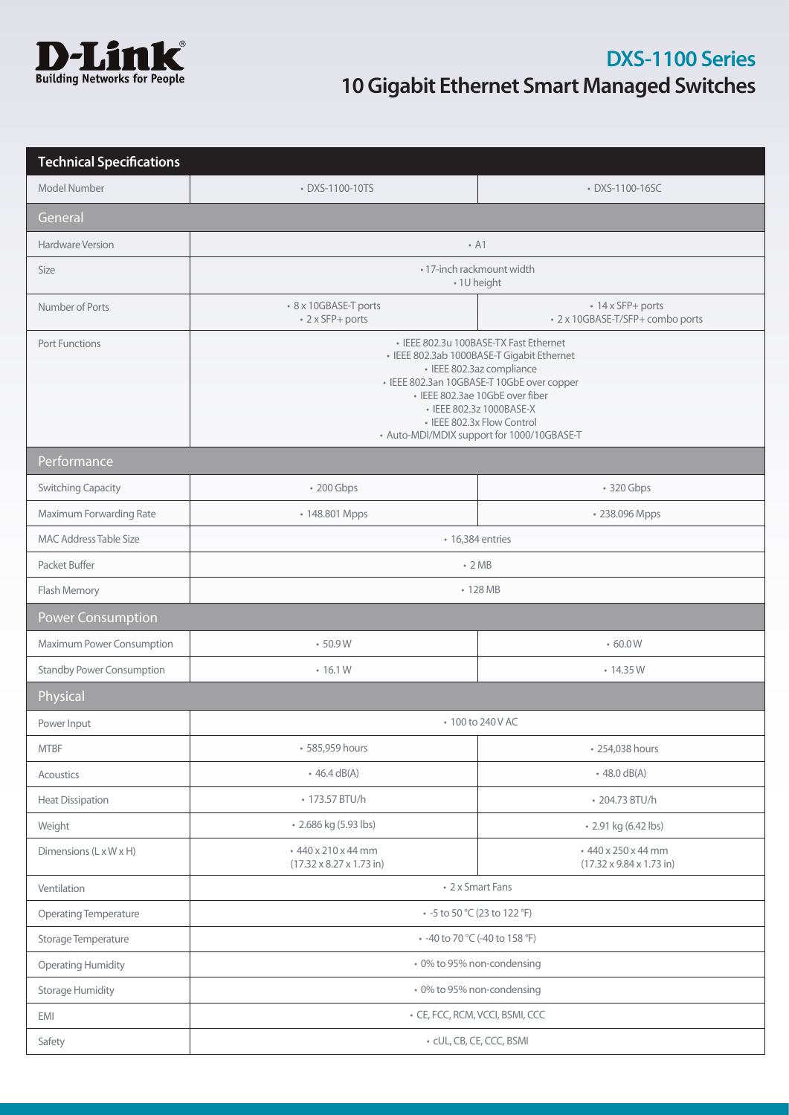

| <b>Technical Specifications</b>  |                                                                                                                                                                                                                                                                                                            |                                                                    |  |
|----------------------------------|------------------------------------------------------------------------------------------------------------------------------------------------------------------------------------------------------------------------------------------------------------------------------------------------------------|--------------------------------------------------------------------|--|
| Model Number                     | • DXS-1100-10TS                                                                                                                                                                                                                                                                                            | • DXS-1100-16SC                                                    |  |
| General                          |                                                                                                                                                                                                                                                                                                            |                                                                    |  |
| Hardware Version                 | $\cdot$ A1                                                                                                                                                                                                                                                                                                 |                                                                    |  |
| Size                             | • 17-inch rackmount width<br>• 1U height                                                                                                                                                                                                                                                                   |                                                                    |  |
| Number of Ports                  | • 8 x 10GBASE-T ports<br>• 2 x SFP+ ports                                                                                                                                                                                                                                                                  | • 14 x SFP+ ports<br>• 2 x 10GBASE-T/SFP+ combo ports              |  |
| <b>Port Functions</b>            | · IEEE 802.3u 100BASE-TX Fast Ethernet<br>· IEEE 802.3ab 1000BASE-T Gigabit Ethernet<br>· IEEE 802.3az compliance<br>· IEEE 802.3an 10GBASE-T 10GbE over copper<br>· IEEE 802.3ae 10GbE over fiber<br>• IEEE 802.3z 1000BASE-X<br>• IEEE 802.3x Flow Control<br>• Auto-MDI/MDIX support for 1000/10GBASE-T |                                                                    |  |
| Performance                      |                                                                                                                                                                                                                                                                                                            |                                                                    |  |
| <b>Switching Capacity</b>        | • 200 Gbps                                                                                                                                                                                                                                                                                                 | • 320 Gbps                                                         |  |
| Maximum Forwarding Rate          | • 148.801 Mpps                                                                                                                                                                                                                                                                                             | • 238.096 Mpps                                                     |  |
| <b>MAC Address Table Size</b>    | • 16,384 entries                                                                                                                                                                                                                                                                                           |                                                                    |  |
| Packet Buffer                    | $\cdot$ 2 MB                                                                                                                                                                                                                                                                                               |                                                                    |  |
| Flash Memory                     | • 128 MB                                                                                                                                                                                                                                                                                                   |                                                                    |  |
| <b>Power Consumption</b>         |                                                                                                                                                                                                                                                                                                            |                                                                    |  |
| Maximum Power Consumption        | •50.9W                                                                                                                                                                                                                                                                                                     | .60.0W                                                             |  |
| <b>Standby Power Consumption</b> | $\cdot$ 16.1 W                                                                                                                                                                                                                                                                                             | • 14.35 W                                                          |  |
| Physical                         |                                                                                                                                                                                                                                                                                                            |                                                                    |  |
| Power Input                      | • 100 to 240 V AC                                                                                                                                                                                                                                                                                          |                                                                    |  |
| <b>MTBF</b>                      | • 585,959 hours                                                                                                                                                                                                                                                                                            | • 254,038 hours                                                    |  |
| Acoustics                        | $\cdot$ 46.4 dB(A)                                                                                                                                                                                                                                                                                         | $\cdot$ 48.0 dB(A)                                                 |  |
| <b>Heat Dissipation</b>          | • 173.57 BTU/h                                                                                                                                                                                                                                                                                             | • 204.73 BTU/h                                                     |  |
| Weight                           | • 2.686 kg (5.93 lbs)                                                                                                                                                                                                                                                                                      | • 2.91 kg (6.42 lbs)                                               |  |
| Dimensions (L x W x H)           | +440 x 210 x 44 mm<br>$(17.32 \times 8.27 \times 1.73$ in)                                                                                                                                                                                                                                                 | +440 x 250 x 44 mm<br>$(17.32 \times 9.84 \times 1.73 \text{ in})$ |  |
| Ventilation                      | • 2 x Smart Fans                                                                                                                                                                                                                                                                                           |                                                                    |  |
| Operating Temperature            | • -5 to 50 °C (23 to 122 °F)                                                                                                                                                                                                                                                                               |                                                                    |  |
| Storage Temperature              | • -40 to 70 °C (-40 to 158 °F)                                                                                                                                                                                                                                                                             |                                                                    |  |
| <b>Operating Humidity</b>        | • 0% to 95% non-condensing                                                                                                                                                                                                                                                                                 |                                                                    |  |
| <b>Storage Humidity</b>          | • 0% to 95% non-condensing                                                                                                                                                                                                                                                                                 |                                                                    |  |
| EMI                              | • CE, FCC, RCM, VCCI, BSMI, CCC                                                                                                                                                                                                                                                                            |                                                                    |  |
| Safety                           | · cUL, CB, CE, CCC, BSMI                                                                                                                                                                                                                                                                                   |                                                                    |  |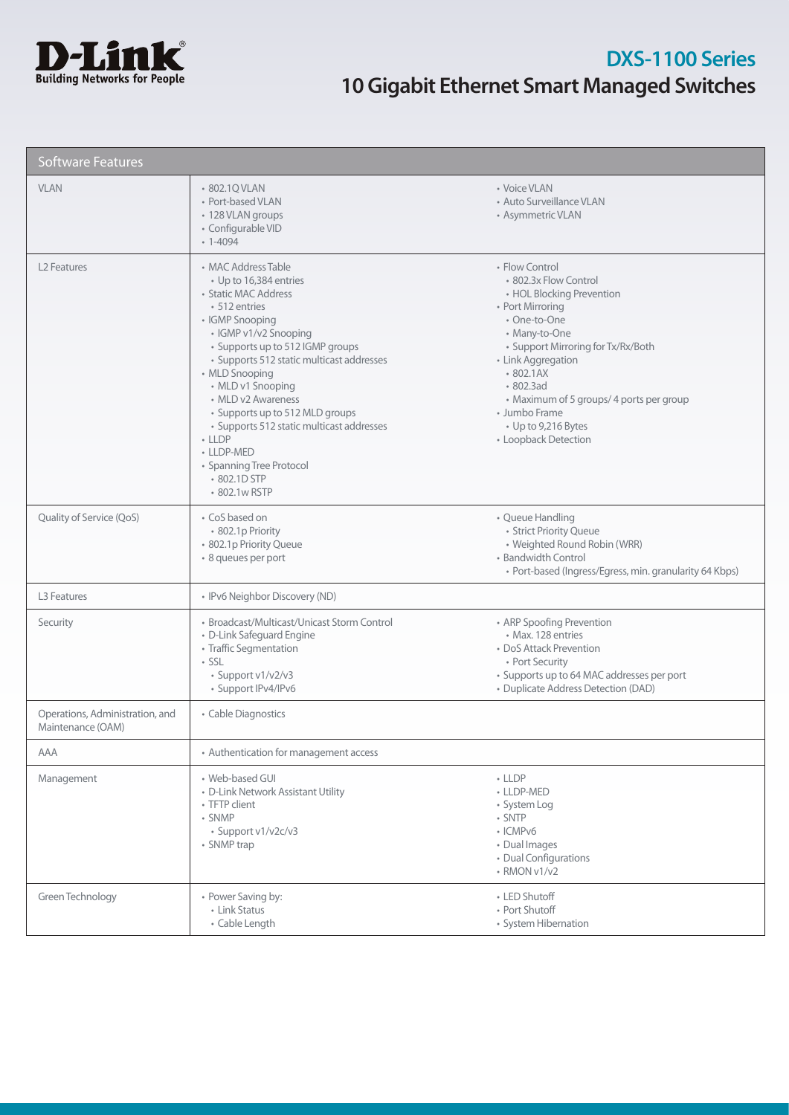

| <b>Software Features</b>                             |                                                                                                                                                                                                                                                                                                                                                                                                                                                       |                                                                                                                                                                                                                                                                                                                                 |  |  |
|------------------------------------------------------|-------------------------------------------------------------------------------------------------------------------------------------------------------------------------------------------------------------------------------------------------------------------------------------------------------------------------------------------------------------------------------------------------------------------------------------------------------|---------------------------------------------------------------------------------------------------------------------------------------------------------------------------------------------------------------------------------------------------------------------------------------------------------------------------------|--|--|
| <b>VLAN</b>                                          | • 802.1Q VLAN<br>• Port-based VLAN<br>• 128 VLAN groups<br>· Configurable VID<br>$-1 - 4094$                                                                                                                                                                                                                                                                                                                                                          | • Voice VLAN<br>• Auto Surveillance VLAN<br>• Asymmetric VLAN                                                                                                                                                                                                                                                                   |  |  |
| L <sub>2</sub> Features                              | • MAC Address Table<br>• Up to 16,384 entries<br>• Static MAC Address<br>• 512 entries<br>• IGMP Snooping<br>· IGMP v1/v2 Snooping<br>• Supports up to 512 IGMP groups<br>· Supports 512 static multicast addresses<br>• MLD Snooping<br>• MLD v1 Snooping<br>• MLD v2 Awareness<br>• Supports up to 512 MLD groups<br>· Supports 512 static multicast addresses<br>$-LDP$<br>• LLDP-MED<br>• Spanning Tree Protocol<br>• 802.1D STP<br>• 802.1w RSTP | • Flow Control<br>• 802.3x Flow Control<br>• HOL Blocking Prevention<br>• Port Mirroring<br>• One-to-One<br>• Many-to-One<br>• Support Mirroring for Tx/Rx/Both<br>• Link Aggregation<br>802.1AX<br>$\cdot$ 802.3ad<br>• Maximum of 5 groups/ 4 ports per group<br>• Jumbo Frame<br>• Up to 9,216 Bytes<br>• Loopback Detection |  |  |
| Quality of Service (QoS)                             | • CoS based on<br>· 802.1p Priority<br>· 802.1p Priority Queue<br>· 8 queues per port                                                                                                                                                                                                                                                                                                                                                                 | • Queue Handling<br>· Strict Priority Queue<br>• Weighted Round Robin (WRR)<br>• Bandwidth Control<br>· Port-based (Ingress/Egress, min. granularity 64 Kbps)                                                                                                                                                                   |  |  |
| L3 Features                                          | • IPv6 Neighbor Discovery (ND)                                                                                                                                                                                                                                                                                                                                                                                                                        |                                                                                                                                                                                                                                                                                                                                 |  |  |
| Security                                             | • Broadcast/Multicast/Unicast Storm Control<br>• D-Link Safeguard Engine<br>• Traffic Segmentation<br>$\cdot$ SSL<br>· Support v1/v2/v3<br>· Support IPv4/IPv6                                                                                                                                                                                                                                                                                        | • ARP Spoofing Prevention<br>• Max. 128 entries<br>• DoS Attack Prevention<br>• Port Security<br>• Supports up to 64 MAC addresses per port<br>• Duplicate Address Detection (DAD)                                                                                                                                              |  |  |
| Operations, Administration, and<br>Maintenance (OAM) | • Cable Diagnostics                                                                                                                                                                                                                                                                                                                                                                                                                                   |                                                                                                                                                                                                                                                                                                                                 |  |  |
| AAA                                                  | • Authentication for management access                                                                                                                                                                                                                                                                                                                                                                                                                |                                                                                                                                                                                                                                                                                                                                 |  |  |
| Management                                           | • Web-based GUI<br>• D-Link Network Assistant Utility<br>• TFTP client<br>• SNMP<br>· Support v1/v2c/v3<br>• SNMP trap                                                                                                                                                                                                                                                                                                                                | $-LLDP$<br>• LLDP-MED<br>• System Log<br>· SNTP<br>· ICMPv6<br>• Dual Images<br>• Dual Configurations<br>• RMON v1/v2                                                                                                                                                                                                           |  |  |
| Green Technology                                     | • Power Saving by:<br>• Link Status<br>• Cable Length                                                                                                                                                                                                                                                                                                                                                                                                 | • LED Shutoff<br>• Port Shutoff<br>• System Hibernation                                                                                                                                                                                                                                                                         |  |  |